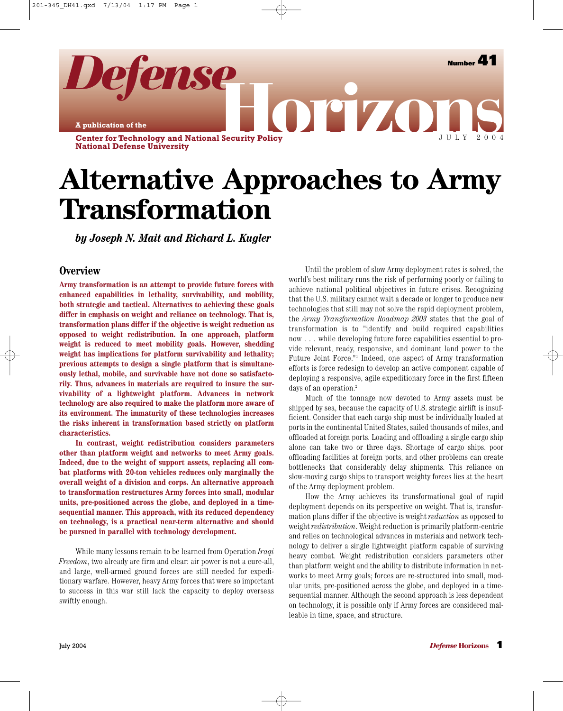**Number 41**

JULY 2004

**A publication of the**

**Center for Technology and National Security Policy National Defense University** orizo

*Defense*

# **Alternative Approaches to Army Transformation**

*by Joseph N. Mait and Richard L. Kugler*

#### **Overview**

**Army transformation is an attempt to provide future forces with enhanced capabilities in lethality, survivability, and mobility, both strategic and tactical. Alternatives to achieving these goals differ in emphasis on weight and reliance on technology. That is, transformation plans differ if the objective is weight reduction as opposed to weight redistribution. In one approach, platform weight is reduced to meet mobility goals. However, shedding weight has implications for platform survivability and lethality; previous attempts to design a single platform that is simultaneously lethal, mobile, and survivable have not done so satisfactorily. Thus, advances in materials are required to insure the survivability of a lightweight platform. Advances in network technology are also required to make the platform more aware of its environment. The immaturity of these technologies increases the risks inherent in transformation based strictly on platform characteristics.**

**In contrast, weight redistribution considers parameters other than platform weight and networks to meet Army goals. Indeed, due to the weight of support assets, replacing all combat platforms with 20-ton vehicles reduces only marginally the overall weight of a division and corps. An alternative approach to transformation restructures Army forces into small, modular units, pre-positioned across the globe, and deployed in a timesequential manner. This approach, with its reduced dependency on technology, is a practical near-term alternative and should be pursued in parallel with technology development.**

While many lessons remain to be learned from Operation *Iraqi Freedom*, two already are firm and clear: air power is not a cure-all, and large, well-armed ground forces are still needed for expeditionary warfare. However, heavy Army forces that were so important to success in this war still lack the capacity to deploy overseas swiftly enough.

Until the problem of slow Army deployment rates is solved, the world's best military runs the risk of performing poorly or failing to achieve national political objectives in future crises. Recognizing that the U.S. military cannot wait a decade or longer to produce new technologies that still may not solve the rapid deployment problem, the *Army Transformation Roadmap 2003* states that the goal of transformation is to "identify and build required capabilities now . . . while developing future force capabilities essential to provide relevant, ready, responsive, and dominant land power to the Future Joint Force."1 Indeed, one aspect of Army transformation efforts is force redesign to develop an active component capable of deploying a responsive, agile expeditionary force in the first fifteen days of an operation.2

Much of the tonnage now devoted to Army assets must be shipped by sea, because the capacity of U.S. strategic airlift is insufficient. Consider that each cargo ship must be individually loaded at ports in the continental United States, sailed thousands of miles, and offloaded at foreign ports. Loading and offloading a single cargo ship alone can take two or three days. Shortage of cargo ships, poor offloading facilities at foreign ports, and other problems can create bottlenecks that considerably delay shipments. This reliance on slow-moving cargo ships to transport weighty forces lies at the heart of the Army deployment problem.

How the Army achieves its transformational goal of rapid deployment depends on its perspective on weight. That is, transformation plans differ if the objective is weight *reduction* as opposed to weight *redistribution*. Weight reduction is primarily platform-centric and relies on technological advances in materials and network technology to deliver a single lightweight platform capable of surviving heavy combat. Weight redistribution considers parameters other than platform weight and the ability to distribute information in networks to meet Army goals; forces are re-structured into small, modular units, pre-positioned across the globe, and deployed in a timesequential manner. Although the second approach is less dependent on technology, it is possible only if Army forces are considered malleable in time, space, and structure.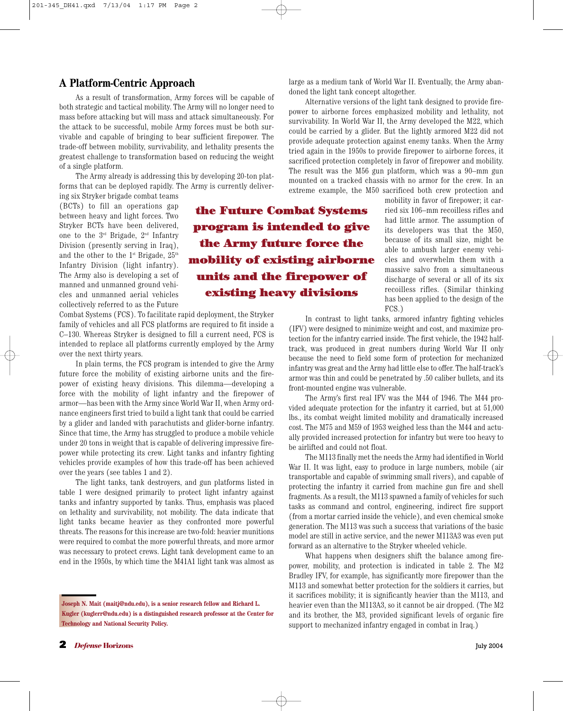## **A Platform-Centric Approach**

As a result of transformation, Army forces will be capable of both strategic and tactical mobility. The Army will no longer need to mass before attacking but will mass and attack simultaneously. For the attack to be successful, mobile Army forces must be both survivable and capable of bringing to bear sufficient firepower. The trade-off between mobility, survivability, and lethality presents the greatest challenge to transformation based on reducing the weight of a single platform.

The Army already is addressing this by developing 20-ton platforms that can be deployed rapidly. The Army is currently delivering six Stryker brigade combat teams

(BCTs) to fill an operations gap between heavy and light forces. Two Stryker BCTs have been delivered, one to the 3rd Brigade, 2nd Infantry Division (presently serving in Iraq), and the other to the  $1^{st}$  Brigade,  $25^{th}$ Infantry Division (light infantry). The Army also is developing a set of manned and unmanned ground vehicles and unmanned aerial vehicles collectively referred to as the Future

**the Future Combat Systems program is intended to give the Army future force the mobility of existing airborne units and the firepower of existing heavy divisions**

Combat Systems (FCS). To facilitate rapid deployment, the Stryker family of vehicles and all FCS platforms are required to fit inside a C–130. Whereas Stryker is designed to fill a current need, FCS is intended to replace all platforms currently employed by the Army over the next thirty years.

In plain terms, the FCS program is intended to give the Army future force the mobility of existing airborne units and the firepower of existing heavy divisions. This dilemma—developing a force with the mobility of light infantry and the firepower of armor—has been with the Army since World War II, when Army ordnance engineers first tried to build a light tank that could be carried by a glider and landed with parachutists and glider-borne infantry. Since that time, the Army has struggled to produce a mobile vehicle under 20 tons in weight that is capable of delivering impressive firepower while protecting its crew. Light tanks and infantry fighting vehicles provide examples of how this trade-off has been achieved over the years (see tables 1 and 2).

The light tanks, tank destroyers, and gun platforms listed in table 1 were designed primarily to protect light infantry against tanks and infantry supported by tanks. Thus, emphasis was placed on lethality and survivability, not mobility. The data indicate that light tanks became heavier as they confronted more powerful threats. The reasons for this increase are two-fold: heavier munitions were required to combat the more powerful threats, and more armor was necessary to protect crews. Light tank development came to an end in the 1950s, by which time the M41A1 light tank was almost as large as a medium tank of World War II. Eventually, the Army abandoned the light tank concept altogether.

Alternative versions of the light tank designed to provide firepower to airborne forces emphasized mobility and lethality, not survivability. In World War II, the Army developed the M22, which could be carried by a glider. But the lightly armored M22 did not provide adequate protection against enemy tanks. When the Army tried again in the 1950s to provide firepower to airborne forces, it sacrificed protection completely in favor of firepower and mobility. The result was the M56 gun platform, which was a 90–mm gun mounted on a tracked chassis with no armor for the crew. In an extreme example, the M50 sacrificed both crew protection and

mobility in favor of firepower; it carried six 106–mm recoilless rifles and had little armor. The assumption of its developers was that the M50, because of its small size, might be able to ambush larger enemy vehicles and overwhelm them with a massive salvo from a simultaneous discharge of several or all of its six recoilless rifles. (Similar thinking has been applied to the design of the FCS.)

In contrast to light tanks, armored infantry fighting vehicles (IFV) were designed to minimize weight and cost, and maximize protection for the infantry carried inside. The first vehicle, the 1942 halftrack, was produced in great numbers during World War II only because the need to field some form of protection for mechanized infantry was great and the Army had little else to offer. The half-track's armor was thin and could be penetrated by .50 caliber bullets, and its front-mounted engine was vulnerable.

The Army's first real IFV was the M44 of 1946. The M44 provided adequate protection for the infantry it carried, but at 51,000 lbs., its combat weight limited mobility and dramatically increased cost. The M75 and M59 of 1953 weighed less than the M44 and actually provided increased protection for infantry but were too heavy to be airlifted and could not float.

The M113 finally met the needs the Army had identified in World War II. It was light, easy to produce in large numbers, mobile (air transportable and capable of swimming small rivers), and capable of protecting the infantry it carried from machine gun fire and shell fragments. As a result, the M113 spawned a family of vehicles for such tasks as command and control, engineering, indirect fire support (from a mortar carried inside the vehicle), and even chemical smoke generation. The M113 was such a success that variations of the basic model are still in active service, and the newer M113A3 was even put forward as an alternative to the Stryker wheeled vehicle.

What happens when designers shift the balance among firepower, mobility, and protection is indicated in table 2. The M2 Bradley IFV, for example, has significantly more firepower than the M113 and somewhat better protection for the soldiers it carries, but it sacrifices mobility; it is significantly heavier than the M113, and heavier even than the M113A3, so it cannot be air dropped. (The M2 and its brother, the M3, provided significant levels of organic fire support to mechanized infantry engaged in combat in Iraq.)

**Joseph N. Mait (maitj@ndu.edu), is a senior research fellow and Richard L. Kugler (kuglerr@ndu.edu) is a distinguished research professor at the Center for Technology and National Security Policy.**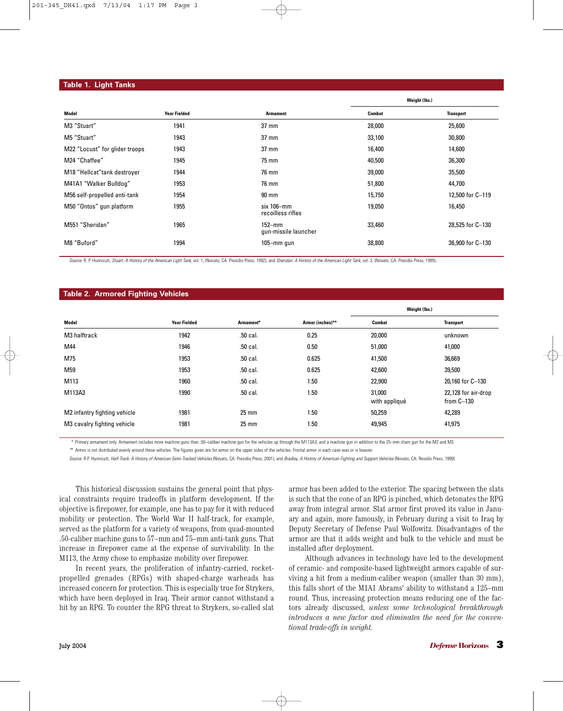#### **Table 1. Light Tanks**

|                                |                     |                                       | Weight (Ibs.) |                  |
|--------------------------------|---------------------|---------------------------------------|---------------|------------------|
| Model                          | <b>Year Fielded</b> | <b>Armament</b>                       | <b>Combat</b> | <b>Transport</b> |
| M3 "Stuart"                    | 1941                | $37 \text{ mm}$                       | 28,000        | 25,600           |
| M5 "Stuart"                    | 1943                | $37 \text{ mm}$                       | 33,100        | 30,800           |
| M22 "Locust" for glider troops | 1943                | $37 \text{ mm}$                       | 16,400        | 14,600           |
| M24 "Chaffee"                  | 1945                | 75 mm                                 | 40,500        | 36,300           |
| M18 "Hellcat" tank destroyer   | 1944                | 76 mm                                 | 39,000        | 35,500           |
| M41A1 "Walker Bulldog"         | 1953                | 76 mm                                 | 51,800        | 44,700           |
| M56 self-propelled anti-tank   | 1954                | $90 \text{ mm}$                       | 15,750        | 12,500 for C-119 |
| M50 "Ontos" gun platform       | 1955                | $s$ ix 106 $-mm$<br>recoilless rifles | 19,050        | 16,450           |
| M551 "Sheridan"                | 1965                | $152 - mm$<br>gun-missile launcher    | 33,460        | 28,525 for C-130 |
| M8 "Buford"                    | 1994                | $105 - mm$ gun                        | 38,800        | 36,900 for C-130 |

Source: R. P. Hunnicutt, Stuart: A History of the American Light Tank, vol. 1, (Novato, CA: Presidio Press, 1992), and Sheridan: A History of the American Light Tank, vol. 2, (Novato, CA: Presidio Press, 1995)

#### **Table 2. Armored Fighting Vehicles**

|                              |                     |                 |                  | Weight (Ibs.)           |                                     |
|------------------------------|---------------------|-----------------|------------------|-------------------------|-------------------------------------|
| Model                        | <b>Year Fielded</b> | Armament*       | Armor (inches)** | Combat                  | <b>Transport</b>                    |
| M3 halftrack                 | 1942                | .50 cal.        | 0.25             | 20,000                  | unknown                             |
| M44                          | 1946                | .50 cal.        | 0.50             | 51,000                  | 41,000                              |
| M75                          | 1953                | .50 cal.        | 0.625            | 41,500                  | 36,669                              |
| M59                          | 1953                | .50 cal.        | 0.625            | 42,600                  | 39,500                              |
| M113                         | 1960                | .50 cal.        | 1.50             | 22,900                  | 20,160 for C-130                    |
| M113A3                       | 1990                | .50 cal.        | 1.50             | 31,000<br>with appliqué | 22,128 for air-drop<br>from $C-130$ |
| M2 infantry fighting vehicle | 1981                | $25 \text{ mm}$ | 1.50             | 50,259                  | 42,289                              |
| M3 cavalry fighting vehicle  | 1981                | $25 \text{ mm}$ | 1.50             | 49,945                  | 41,975                              |

*\**\* Primary armament only. Armament includes more machine guns than .50–caliber machine gun for the vehicles up through the M113A3, and a machine gun in addition to the 25–mm chain gun for the M2 and M3.

*\**\* Armor is not distributed evenly around these vehicles. The figures given are for armor on the upper sides of the vehicles. Frontal armor in each case was or is heavier.

Source: R.P. Hunnicutt, Half-Track: A History of American Semi-Tracked Vehicles (Novato, CA: Presidio Press, 2001), and Bradley, A History of American Fighting and Support Vehicles (Novato, CA: Residio Press, 1999)

This historical discussion sustains the general point that physical constraints require tradeoffs in platform development. If the objective is firepower, for example, one has to pay for it with reduced mobility or protection. The World War II half-track, for example, served as the platform for a variety of weapons, from quad-mounted .50-caliber machine guns to 57–mm and 75–mm anti-tank guns. That increase in firepower came at the expense of survivability. In the M113, the Army chose to emphasize mobility over firepower.

In recent years, the proliferation of infantry-carried, rocketpropelled grenades (RPGs) with shaped-charge warheads has increased concern for protection. This is especially true for Strykers, which have been deployed in Iraq. Their armor cannot withstand a hit by an RPG. To counter the RPG threat to Strykers, so-called slat armor has been added to the exterior. The spacing between the slats is such that the cone of an RPG is pinched, which detonates the RPG away from integral armor. Slat armor first proved its value in January and again, more famously, in February during a visit to Iraq by Deputy Secretary of Defense Paul Wolfowitz. Disadvantages of the armor are that it adds weight and bulk to the vehicle and must be installed after deployment.

Although advances in technology have led to the development of ceramic- and composite-based lightweight armors capable of surviving a hit from a medium-caliber weapon (smaller than 30 mm), this falls short of the M1A1 Abrams' ability to withstand a 125–mm round. Thus, increasing protection means reducing one of the factors already discussed, *unless some technological breakthrough introduces a new factor and eliminates the need for the conventional trade-offs in weight.*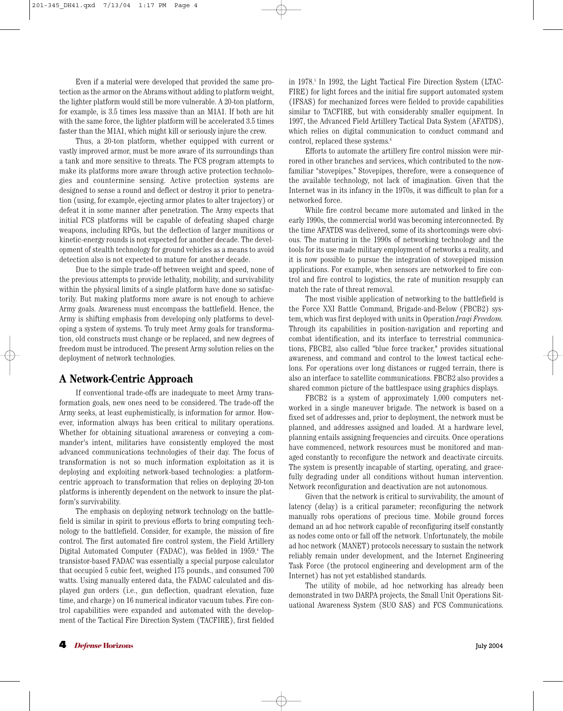Even if a material were developed that provided the same protection as the armor on the Abrams without adding to platform weight, the lighter platform would still be more vulnerable. A 20-ton platform, for example, is 3.5 times less massive than an M1A1. If both are hit with the same force, the lighter platform will be accelerated 3.5 times faster than the M1A1, which might kill or seriously injure the crew.

Thus, a 20-ton platform, whether equipped with current or vastly improved armor, must be more aware of its surroundings than a tank and more sensitive to threats. The FCS program attempts to make its platforms more aware through active protection technologies and countermine sensing. Active protection systems are designed to sense a round and deflect or destroy it prior to penetration (using, for example, ejecting armor plates to alter trajectory) or defeat it in some manner after penetration. The Army expects that initial FCS platforms will be capable of defeating shaped charge weapons, including RPGs, but the deflection of larger munitions or kinetic-energy rounds is not expected for another decade. The development of stealth technology for ground vehicles as a means to avoid detection also is not expected to mature for another decade.

Due to the simple trade-off between weight and speed, none of the previous attempts to provide lethality, mobility, and survivability within the physical limits of a single platform have done so satisfactorily. But making platforms more aware is not enough to achieve Army goals. Awareness must encompass the battlefield. Hence, the Army is shifting emphasis from developing only platforms to developing a system of systems. To truly meet Army goals for transformation, old constructs must change or be replaced, and new degrees of freedom must be introduced. The present Army solution relies on the deployment of network technologies.

## **A Network-Centric Approach**

If conventional trade-offs are inadequate to meet Army transformation goals, new ones need to be considered. The trade-off the Army seeks, at least euphemistically, is information for armor. However, information always has been critical to military operations. Whether for obtaining situational awareness or conveying a commander's intent, militaries have consistently employed the most advanced communications technologies of their day. The focus of transformation is not so much information exploitation as it is deploying and exploiting network-based technologies: a platformcentric approach to transformation that relies on deploying 20-ton platforms is inherently dependent on the network to insure the platform's survivability.

The emphasis on deploying network technology on the battlefield is similar in spirit to previous efforts to bring computing technology to the battlefield. Consider, for example, the mission of fire control. The first automated fire control system, the Field Artillery Digital Automated Computer (FADAC), was fielded in 1959.<sup>4</sup> The transistor-based FADAC was essentially a special purpose calculator that occupied 5 cubic feet, weighed 175 pounds., and consumed 700 watts. Using manually entered data, the FADAC calculated and displayed gun orders (i.e., gun deflection, quadrant elevation, fuze time, and charge) on 16 numerical indicator vacuum tubes. Fire control capabilities were expanded and automated with the development of the Tactical Fire Direction System (TACFIRE), first fielded in 1978.5 In 1992, the Light Tactical Fire Direction System (LTAC-FIRE) for light forces and the initial fire support automated system (IFSAS) for mechanized forces were fielded to provide capabilities similar to TACFIRE, but with considerably smaller equipment. In 1997, the Advanced Field Artillery Tactical Data System (AFATDS), which relies on digital communication to conduct command and control, replaced these systems.<sup>6</sup>

Efforts to automate the artillery fire control mission were mirrored in other branches and services, which contributed to the nowfamiliar "stovepipes." Stovepipes, therefore, were a consequence of the available technology, not lack of imagination. Given that the Internet was in its infancy in the 1970s, it was difficult to plan for a networked force.

While fire control became more automated and linked in the early 1990s, the commercial world was becoming interconnected. By the time AFATDS was delivered, some of its shortcomings were obvious. The maturing in the 1990s of networking technology and the tools for its use made military employment of networks a reality, and it is now possible to pursue the integration of stovepiped mission applications. For example, when sensors are networked to fire control and fire control to logistics, the rate of munition resupply can match the rate of threat removal.

The most visible application of networking to the battlefield is the Force XXI Battle Command, Brigade-and-Below (FBCB2) system, which was first deployed with units in Operation *Iraqi Freedom.* Through its capabilities in position-navigation and reporting and combat identification, and its interface to terrestrial communications, FBCB2, also called "blue force tracker," provides situational awareness, and command and control to the lowest tactical echelons. For operations over long distances or rugged terrain, there is also an interface to satellite communications. FBCB2 also provides a shared common picture of the battlespace using graphics displays.

FBCB2 is a system of approximately 1,000 computers networked in a single maneuver brigade. The network is based on a fixed set of addresses and, prior to deployment, the network must be planned, and addresses assigned and loaded. At a hardware level, planning entails assigning frequencies and circuits. Once operations have commenced, network resources must be monitored and managed constantly to reconfigure the network and deactivate circuits. The system is presently incapable of starting, operating, and gracefully degrading under all conditions without human intervention. Network reconfiguration and deactivation are not autonomous.

Given that the network is critical to survivability, the amount of latency (delay) is a critical parameter; reconfiguring the network manually robs operations of precious time. Mobile ground forces demand an ad hoc network capable of reconfiguring itself constantly as nodes come onto or fall off the network. Unfortunately, the mobile ad hoc network (MANET) protocols necessary to sustain the network reliably remain under development, and the Internet Engineering Task Force (the protocol engineering and development arm of the Internet) has not yet established standards.

The utility of mobile, ad hoc networking has already been demonstrated in two DARPA projects, the Small Unit Operations Situational Awareness System (SUO SAS) and FCS Communications.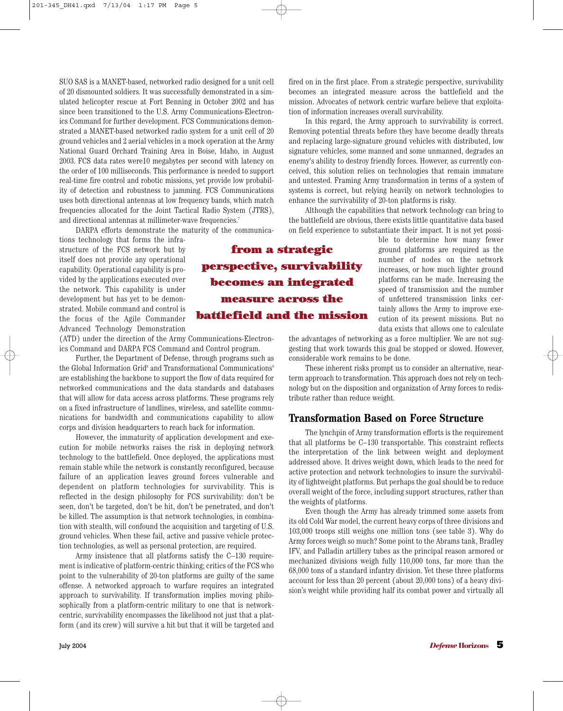SUO SAS is a MANET-based, networked radio designed for a unit cell of 20 dismounted soldiers. It was successfully demonstrated in a simulated helicopter rescue at Fort Benning in October 2002 and has since been transitioned to the U.S. Army Communications-Electronics Command for further development. FCS Communications demonstrated a MANET-based networked radio system for a unit cell of 20 ground vehicles and 2 aerial vehicles in a mock operation at the Army National Guard Orchard Training Area in Boise, Idaho, in August 2003. FCS data rates were10 megabytes per second with latency on the order of 100 milliseconds. This performance is needed to support real-time fire control and robotic missions, yet provide low probability of detection and robustness to jamming. FCS Communications uses both directional antennas at low frequency bands, which match frequencies allocated for the Joint Tactical Radio System (JTRS), and directional antennas at millimeter-wave frequencies.<sup>7</sup>

DARPA efforts demonstrate the maturity of the communica-

tions technology that forms the infrastructure of the FCS network but by itself does not provide any operational capability. Operational capability is provided by the applications executed over the network. This capability is under development but has yet to be demonstrated. Mobile command and control is the focus of the Agile Commander Advanced Technology Demonstration

(ATD) under the direction of the Army Communications-Electronics Command and DARPA FCS Command and Control program.

Further, the Department of Defense, through programs such as the Global Information Grid<sup>8</sup> and Transformational Communications<sup>9</sup> are establishing the backbone to support the flow of data required for networked communications and the data standards and databases that will allow for data access across platforms. These programs rely on a fixed infrastructure of landlines, wireless, and satellite communications for bandwidth and communications capability to allow corps and division headquarters to reach back for information.

However, the immaturity of application development and execution for mobile networks raises the risk in deploying network technology to the battlefield. Once deployed, the applications must remain stable while the network is constantly reconfigured, because failure of an application leaves ground forces vulnerable and dependent on platform technologies for survivability. This is reflected in the design philosophy for FCS survivability: don't be seen, don't be targeted, don't be hit, don't be penetrated, and don't be killed. The assumption is that network technologies, in combination with stealth, will confound the acquisition and targeting of U.S. ground vehicles. When these fail, active and passive vehicle protection technologies, as well as personal protection, are required.

Army insistence that all platforms satisfy the C–130 requirement is indicative of platform-centric thinking; critics of the FCS who point to the vulnerability of 20-ton platforms are guilty of the same offense. A networked approach to warfare requires an integrated approach to survivability. If transformation implies moving philosophically from a platform-centric military to one that is networkcentric, survivability encompasses the likelihood not just that a platform (and its crew) will survive a hit but that it will be targeted and fired on in the first place. From a strategic perspective, survivability becomes an integrated measure across the battlefield and the mission. Advocates of network centric warfare believe that exploitation of information increases overall survivability.

In this regard, the Army approach to survivability is correct. Removing potential threats before they have become deadly threats and replacing large-signature ground vehicles with distributed, low signature vehicles, some manned and some unmanned, degrades an enemy's ability to destroy friendly forces. However, as currently conceived, this solution relies on technologies that remain immature and untested. Framing Army transformation in terms of a system of systems is correct, but relying heavily on network technologies to enhance the survivability of 20-ton platforms is risky.

Although the capabilities that network technology can bring to the battlefield are obvious, there exists little quantitative data based on field experience to substantiate their impact. It is not yet possi-

> ble to determine how many fewer ground platforms are required as the number of nodes on the network increases, or how much lighter ground platforms can be made. Increasing the speed of transmission and the number of unfettered transmission links certainly allows the Army to improve execution of its present missions. But no data exists that allows one to calculate

the advantages of networking as a force multiplier. We are not suggesting that work towards this goal be stopped or slowed. However, considerable work remains to be done.

These inherent risks prompt us to consider an alternative, nearterm approach to transformation. This approach does not rely on technology but on the disposition and organization of Army forces to redistribute rather than reduce weight.

## **Transformation Based on Force Structure**

The lynchpin of Army transformation efforts is the requirement that all platforms be C–130 transportable. This constraint reflects the interpretation of the link between weight and deployment addressed above. It drives weight down, which leads to the need for active protection and network technologies to insure the survivability of lightweight platforms. But perhaps the goal should be to reduce overall weight of the force, including support structures, rather than the weights of platforms.

Even though the Army has already trimmed some assets from its old Cold War model, the current heavy corps of three divisions and 103,000 troops still weighs one million tons (see table 3). Why do Army forces weigh so much? Some point to the Abrams tank, Bradley IFV, and Palladin artillery tubes as the principal reason armored or mechanized divisions weigh fully 110,000 tons, far more than the 68,000 tons of a standard infantry division. Yet these three platforms account for less than 20 percent (about 20,000 tons) of a heavy division's weight while providing half its combat power and virtually all

**from a strategic perspective, survivability becomes an integrated measure across the battlefield and the mission**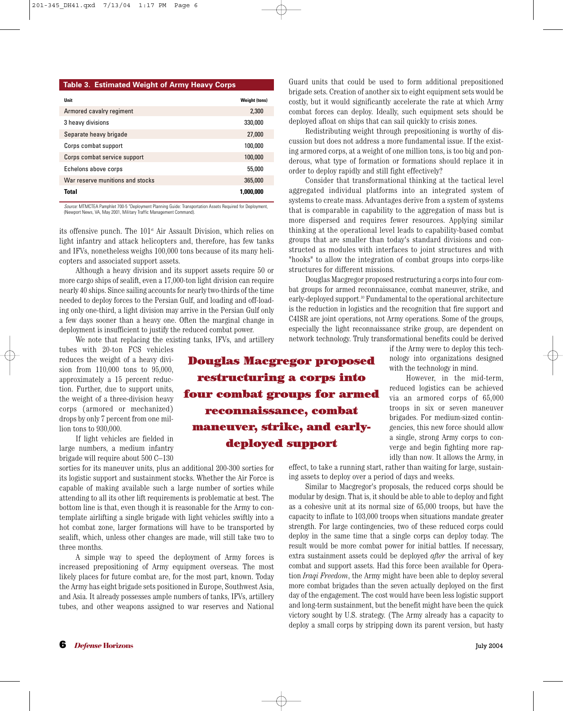#### **Table 3. Estimated Weight of Army Heavy Corps**

| Unit                             | <b>Weight (tons)</b> |
|----------------------------------|----------------------|
| Armored cavalry regiment         | 2,300                |
| 3 heavy divisions                | 330,000              |
| Separate heavy brigade           | 27,000               |
| Corps combat support             | 100,000              |
| Corps combat service support     | 100,000              |
| Echelons above corps             | 55,000               |
| War reserve munitions and stocks | 365,000              |
| Total                            | 1,000,000            |

*Source:* MTMCTEA Pamphlet 700-5 "Deployment Planning Guide: Transportation Assets Required for Deployment, (Newport News, VA, May 2001, Military Traffic Management Command).

its offensive punch. The 101<sup>st</sup> Air Assault Division, which relies on light infantry and attack helicopters and, therefore, has few tanks and IFVs, nonetheless weighs 100,000 tons because of its many helicopters and associated support assets.

Although a heavy division and its support assets require 50 or more cargo ships of sealift, even a 17,000-ton light division can require nearly 40 ships. Since sailing accounts for nearly two-thirds of the time needed to deploy forces to the Persian Gulf, and loading and off-loading only one-third, a light division may arrive in the Persian Gulf only a few days sooner than a heavy one. Often the marginal change in deployment is insufficient to justify the reduced combat power.

We note that replacing the existing tanks, IFVs, and artillery

**Douglas Macgregor proposed restructuring a corps into four combat groups for armed**

**reconnaissance, combat**

**maneuver, strike, and earlydeployed support**

tubes with 20-ton FCS vehicles reduces the weight of a heavy division from 110,000 tons to 95,000, approximately a 15 percent reduction. Further, due to support units, the weight of a three-division heavy corps (armored or mechanized) drops by only 7 percent from one million tons to 930,000.

If light vehicles are fielded in large numbers, a medium infantry brigade will require about 500 C–130

sorties for its maneuver units, plus an additional 200-300 sorties for its logistic support and sustainment stocks. Whether the Air Force is capable of making available such a large number of sorties while attending to all its other lift requirements is problematic at best. The bottom line is that, even though it is reasonable for the Army to contemplate airlifting a single brigade with light vehicles swiftly into a hot combat zone, larger formations will have to be transported by sealift, which, unless other changes are made, will still take two to three months.

A simple way to speed the deployment of Army forces is increased prepositioning of Army equipment overseas. The most likely places for future combat are, for the most part, known. Today the Army has eight brigade sets positioned in Europe, Southwest Asia, and Asia. It already possesses ample numbers of tanks, IFVs, artillery tubes, and other weapons assigned to war reserves and National

Guard units that could be used to form additional prepositioned brigade sets. Creation of another six to eight equipment sets would be costly, but it would significantly accelerate the rate at which Army combat forces can deploy. Ideally, such equipment sets should be deployed afloat on ships that can sail quickly to crisis zones.

Redistributing weight through prepositioning is worthy of discussion but does not address a more fundamental issue. If the existing armored corps, at a weight of one million tons, is too big and ponderous, what type of formation or formations should replace it in order to deploy rapidly and still fight effectively?

Consider that transformational thinking at the tactical level aggregated individual platforms into an integrated system of systems to create mass. Advantages derive from a system of systems that is comparable in capability to the aggregation of mass but is more dispersed and requires fewer resources. Applying similar thinking at the operational level leads to capability-based combat groups that are smaller than today's standard divisions and constructed as modules with interfaces to joint structures and with "hooks" to allow the integration of combat groups into corps-like structures for different missions.

Douglas Macgregor proposed restructuring a corps into four combat groups for armed reconnaissance, combat maneuver, strike, and early-deployed support.10 Fundamental to the operational architecture is the reduction in logistics and the recognition that fire support and C4ISR are joint operations, not Army operations. Some of the groups, especially the light reconnaissance strike group, are dependent on network technology. Truly transformational benefits could be derived

> if the Army were to deploy this technology into organizations designed with the technology in mind.

However, in the mid-term, reduced logistics can be achieved via an armored corps of 65,000 troops in six or seven maneuver brigades. For medium-sized contingencies, this new force should allow a single, strong Army corps to converge and begin fighting more rapidly than now. It allows the Army, in

effect, to take a running start, rather than waiting for large, sustaining assets to deploy over a period of days and weeks.

Similar to Macgregor's proposals, the reduced corps should be modular by design. That is, it should be able to able to deploy and fight as a cohesive unit at its normal size of 65,000 troops, but have the capacity to inflate to 103,000 troops when situations mandate greater strength. For large contingencies, two of these reduced corps could deploy in the same time that a single corps can deploy today. The result would be more combat power for initial battles. If necessary, extra sustainment assets could be deployed *after* the arrival of key combat and support assets. Had this force been available for Operation *Iraqi Freedom*, the Army might have been able to deploy several more combat brigades than the seven actually deployed on the first day of the engagement. The cost would have been less logistic support and long-term sustainment, but the benefit might have been the quick victory sought by U.S. strategy. (The Army already has a capacity to deploy a small corps by stripping down its parent version, but hasty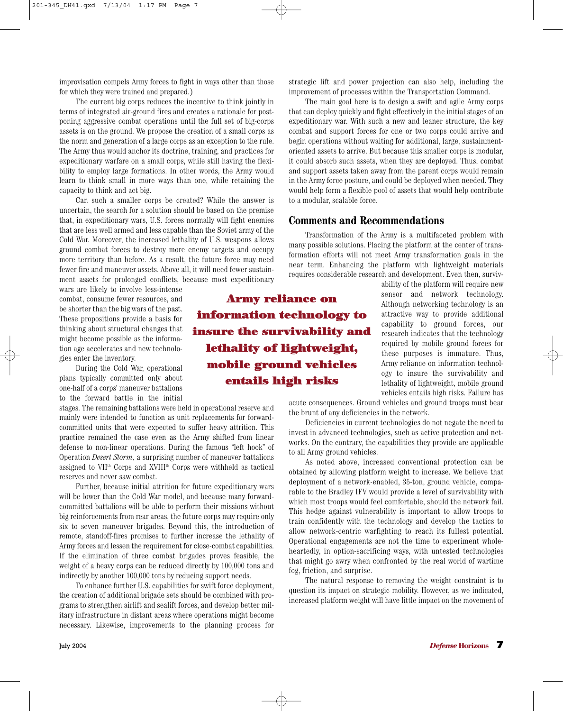improvisation compels Army forces to fight in ways other than those for which they were trained and prepared.)

The current big corps reduces the incentive to think jointly in terms of integrated air-ground fires and creates a rationale for postponing aggressive combat operations until the full set of big-corps assets is on the ground. We propose the creation of a small corps as the norm and generation of a large corps as an exception to the rule. The Army thus would anchor its doctrine, training, and practices for expeditionary warfare on a small corps, while still having the flexibility to employ large formations. In other words, the Army would learn to think small in more ways than one, while retaining the capacity to think and act big.

Can such a smaller corps be created? While the answer is uncertain, the search for a solution should be based on the premise that, in expeditionary wars, U.S. forces normally will fight enemies that are less well armed and less capable than the Soviet army of the Cold War. Moreover, the increased lethality of U.S. weapons allows ground combat forces to destroy more enemy targets and occupy more territory than before. As a result, the future force may need fewer fire and maneuver assets. Above all, it will need fewer sustainment assets for prolonged conflicts, because most expeditionary

wars are likely to involve less-intense combat, consume fewer resources, and be shorter than the big wars of the past. These propositions provide a basis for thinking about structural changes that might become possible as the information age accelerates and new technologies enter the inventory.

During the Cold War, operational plans typically committed only about one-half of a corps' maneuver battalions to the forward battle in the initial

stages. The remaining battalions were held in operational reserve and mainly were intended to function as unit replacements for forwardcommitted units that were expected to suffer heavy attrition. This practice remained the case even as the Army shifted from linear defense to non-linear operations. During the famous "left hook" of Operation *Desert Storm*, a surprising number of maneuver battalions assigned to VII<sup>th</sup> Corps and XVIII<sup>th</sup> Corps were withheld as tactical reserves and never saw combat.

Further, because initial attrition for future expeditionary wars will be lower than the Cold War model, and because many forwardcommitted battalions will be able to perform their missions without big reinforcements from rear areas, the future corps may require only six to seven maneuver brigades. Beyond this, the introduction of remote, standoff-fires promises to further increase the lethality of Army forces and lessen the requirement for close-combat capabilities. If the elimination of three combat brigades proves feasible, the weight of a heavy corps can be reduced directly by 100,000 tons and indirectly by another 100,000 tons by reducing support needs.

To enhance further U.S. capabilities for swift force deployment, the creation of additional brigade sets should be combined with programs to strengthen airlift and sealift forces, and develop better military infrastructure in distant areas where operations might become necessary. Likewise, improvements to the planning process for

**Army reliance on information technology to insure the survivability and lethality of lightweight, mobile ground vehicles entails high risks**

strategic lift and power projection can also help, including the improvement of processes within the Transportation Command.

The main goal here is to design a swift and agile Army corps that can deploy quickly and fight effectively in the initial stages of an expeditionary war. With such a new and leaner structure, the key combat and support forces for one or two corps could arrive and begin operations without waiting for additional, large, sustainmentoriented assets to arrive. But because this smaller corps is modular, it could absorb such assets, when they are deployed. Thus, combat and support assets taken away from the parent corps would remain in the Army force posture, and could be deployed when needed. They would help form a flexible pool of assets that would help contribute to a modular, scalable force.

### **Comments and Recommendations**

Transformation of the Army is a multifaceted problem with many possible solutions. Placing the platform at the center of transformation efforts will not meet Army transformation goals in the near term. Enhancing the platform with lightweight materials requires considerable research and development. Even then, surviv-

> ability of the platform will require new sensor and network technology. Although networking technology is an attractive way to provide additional capability to ground forces, our research indicates that the technology required by mobile ground forces for these purposes is immature. Thus, Army reliance on information technology to insure the survivability and lethality of lightweight, mobile ground vehicles entails high risks. Failure has

acute consequences. Ground vehicles and ground troops must bear the brunt of any deficiencies in the network.

Deficiencies in current technologies do not negate the need to invest in advanced technologies, such as active protection and networks. On the contrary, the capabilities they provide are applicable to all Army ground vehicles.

As noted above, increased conventional protection can be obtained by allowing platform weight to increase. We believe that deployment of a network-enabled, 35-ton, ground vehicle, comparable to the Bradley IFV would provide a level of survivability with which most troops would feel comfortable, should the network fail. This hedge against vulnerability is important to allow troops to train confidently with the technology and develop the tactics to allow network-centric warfighting to reach its fullest potential. Operational engagements are not the time to experiment wholeheartedly, in option-sacrificing ways, with untested technologies that might go awry when confronted by the real world of wartime fog, friction, and surprise.

The natural response to removing the weight constraint is to question its impact on strategic mobility. However, as we indicated, increased platform weight will have little impact on the movement of